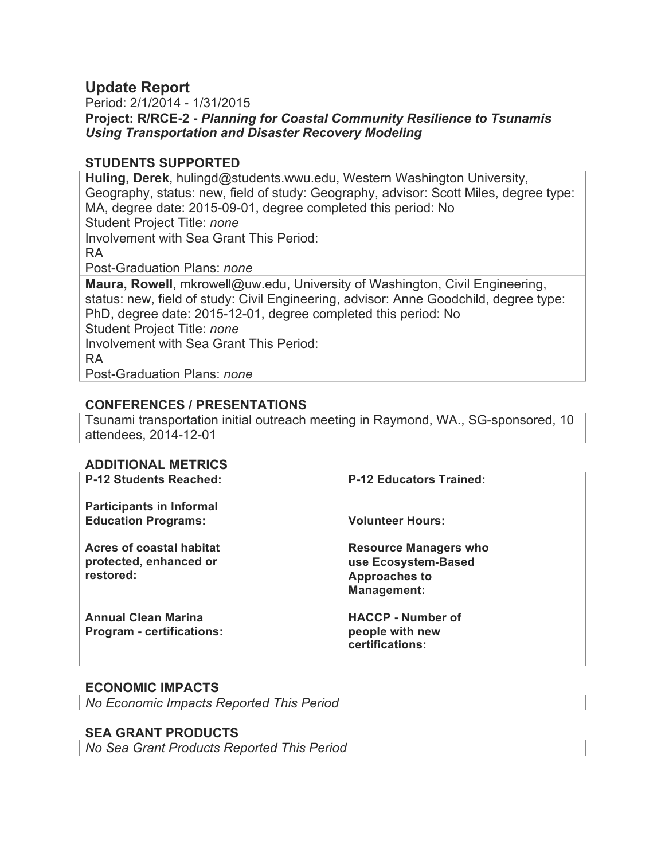# **Update Report**

Period: 2/1/2014 - 1/31/2015 **Project: R/RCE-2 -** *Planning for Coastal Community Resilience to Tsunamis Using Transportation and Disaster Recovery Modeling*

## **STUDENTS SUPPORTED**

**Huling, Derek**, hulingd@students.wwu.edu, Western Washington University, Geography, status: new, field of study: Geography, advisor: Scott Miles, degree type: MA, degree date: 2015-09-01, degree completed this period: No Student Project Title: *none* Involvement with Sea Grant This Period: RA Post-Graduation Plans: *none* **Maura, Rowell**, mkrowell@uw.edu, University of Washington, Civil Engineering, status: new, field of study: Civil Engineering, advisor: Anne Goodchild, degree type: PhD, degree date: 2015-12-01, degree completed this period: No Student Project Title: *none* Involvement with Sea Grant This Period: RA Post-Graduation Plans: *none*

## **CONFERENCES / PRESENTATIONS**

Tsunami transportation initial outreach meeting in Raymond, WA., SG-sponsored, 10 attendees, 2014-12-01

## **ADDITIONAL METRICS**

**P-12 Students Reached: P-12 Educators Trained: Participants in Informal Education Programs: Volunteer Hours: Acres of coastal habitat protected, enhanced or restored: Resource Managers who use Ecosystem-Based Approaches to Management:** 

**Annual Clean Marina Program - certifications:**  **HACCP - Number of people with new certifications:** 

## **ECONOMIC IMPACTS**

*No Economic Impacts Reported This Period*

## **SEA GRANT PRODUCTS**

*No Sea Grant Products Reported This Period*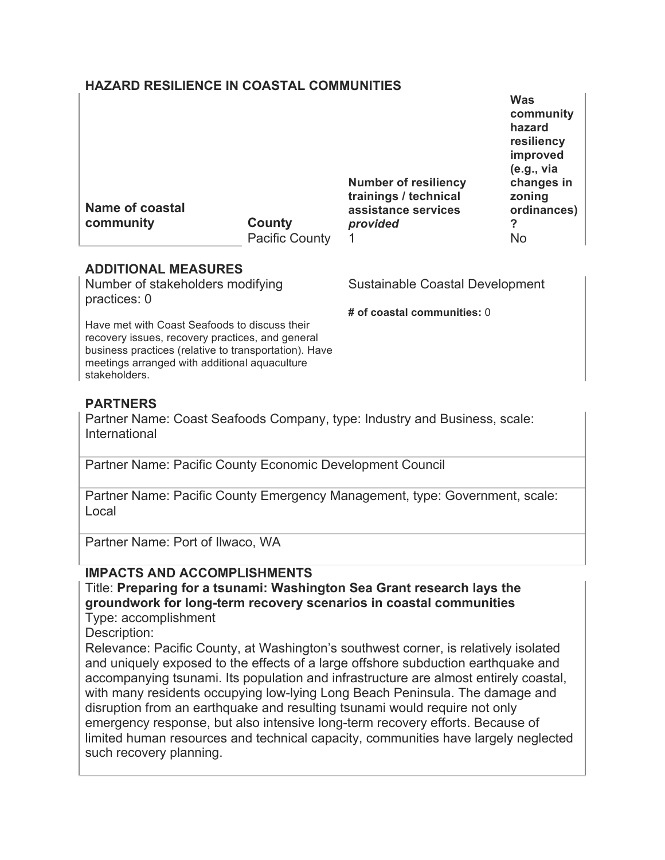## **HAZARD RESILIENCE IN COASTAL COMMUNITIES**

| <b>Name of coastal</b><br>community | County                | <b>Number of resiliency</b><br>trainings / technical<br>assistance services<br>provided | <b>Was</b><br>community<br>hazard<br>resiliency<br>improved<br>(e.g., via<br>changes in<br>zoning<br>ordinances)<br>? |
|-------------------------------------|-----------------------|-----------------------------------------------------------------------------------------|-----------------------------------------------------------------------------------------------------------------------|
|                                     | <b>Pacific County</b> |                                                                                         | No                                                                                                                    |

## **ADDITIONAL MEASURES**

Number of stakeholders modifying practices: 0

Sustainable Coastal Development

**# of coastal communities:** 0

Have met with Coast Seafoods to discuss their recovery issues, recovery practices, and general business practices (relative to transportation). Have meetings arranged with additional aquaculture stakeholders.

# **PARTNERS**

Partner Name: Coast Seafoods Company, type: Industry and Business, scale: International

Partner Name: Pacific County Economic Development Council

Partner Name: Pacific County Emergency Management, type: Government, scale: Local

Partner Name: Port of Ilwaco, WA

# **IMPACTS AND ACCOMPLISHMENTS**

Title: **Preparing for a tsunami: Washington Sea Grant research lays the groundwork for long-term recovery scenarios in coastal communities** Type: accomplishment

Description:

Relevance: Pacific County, at Washington's southwest corner, is relatively isolated and uniquely exposed to the effects of a large offshore subduction earthquake and accompanying tsunami. Its population and infrastructure are almost entirely coastal, with many residents occupying low-lying Long Beach Peninsula. The damage and disruption from an earthquake and resulting tsunami would require not only emergency response, but also intensive long-term recovery efforts. Because of limited human resources and technical capacity, communities have largely neglected such recovery planning.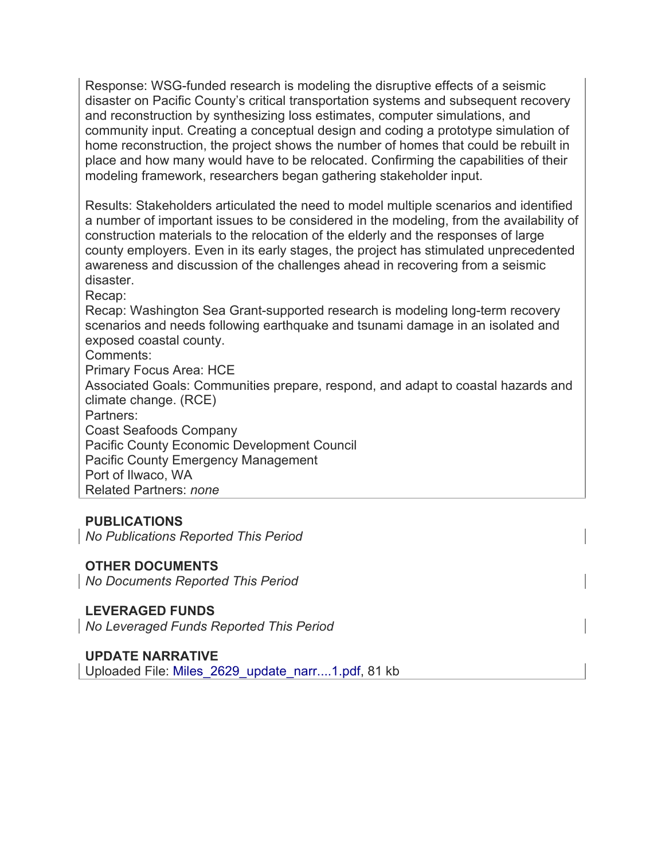Response: WSG-funded research is modeling the disruptive effects of a seismic disaster on Pacific County's critical transportation systems and subsequent recovery and reconstruction by synthesizing loss estimates, computer simulations, and community input. Creating a conceptual design and coding a prototype simulation of home reconstruction, the project shows the number of homes that could be rebuilt in place and how many would have to be relocated. Confirming the capabilities of their modeling framework, researchers began gathering stakeholder input.

Results: Stakeholders articulated the need to model multiple scenarios and identified a number of important issues to be considered in the modeling, from the availability of construction materials to the relocation of the elderly and the responses of large county employers. Even in its early stages, the project has stimulated unprecedented awareness and discussion of the challenges ahead in recovering from a seismic disaster.

Recap:

Recap: Washington Sea Grant-supported research is modeling long-term recovery scenarios and needs following earthquake and tsunami damage in an isolated and exposed coastal county.

Comments:

Primary Focus Area: HCE

Associated Goals: Communities prepare, respond, and adapt to coastal hazards and climate change. (RCE)

Partners:

Coast Seafoods Company Pacific County Economic Development Council Pacific County Emergency Management Port of Ilwaco, WA Related Partners: *none*

## **PUBLICATIONS**

*No Publications Reported This Period*

## **OTHER DOCUMENTS**

*No Documents Reported This Period*

## **LEVERAGED FUNDS**

*No Leveraged Funds Reported This Period*

#### **UPDATE NARRATIVE**

Uploaded File: Miles\_2629\_update\_narr....1.pdf, 81 kb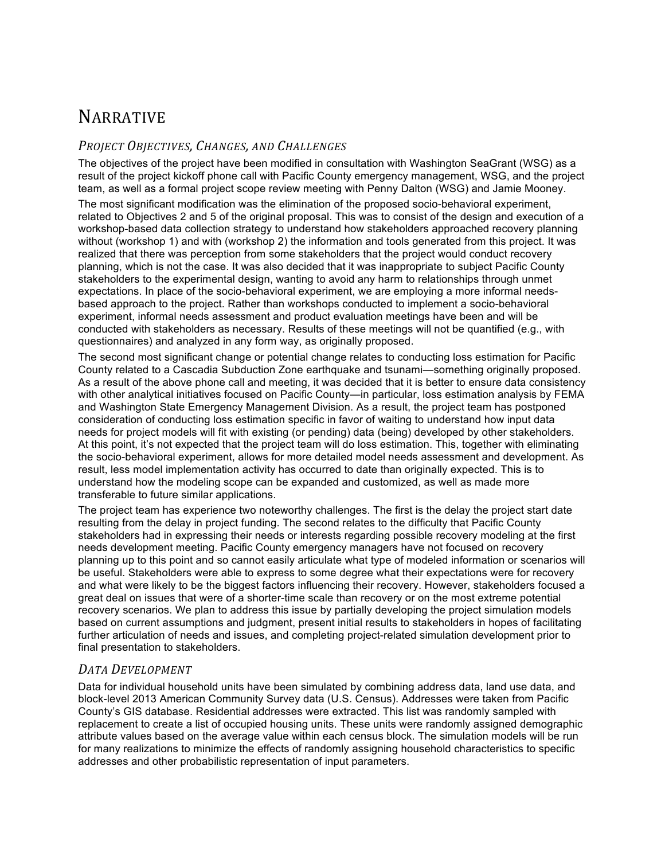# NARRATIVE

#### *PROJECT OBJECTIVES, CHANGES, AND CHALLENGES*

The objectives of the project have been modified in consultation with Washington SeaGrant (WSG) as a result of the project kickoff phone call with Pacific County emergency management, WSG, and the project team, as well as a formal project scope review meeting with Penny Dalton (WSG) and Jamie Mooney.

The most significant modification was the elimination of the proposed socio-behavioral experiment, related to Objectives 2 and 5 of the original proposal. This was to consist of the design and execution of a workshop-based data collection strategy to understand how stakeholders approached recovery planning without (workshop 1) and with (workshop 2) the information and tools generated from this project. It was realized that there was perception from some stakeholders that the project would conduct recovery planning, which is not the case. It was also decided that it was inappropriate to subject Pacific County stakeholders to the experimental design, wanting to avoid any harm to relationships through unmet expectations. In place of the socio-behavioral experiment, we are employing a more informal needsbased approach to the project. Rather than workshops conducted to implement a socio-behavioral experiment, informal needs assessment and product evaluation meetings have been and will be conducted with stakeholders as necessary. Results of these meetings will not be quantified (e.g., with questionnaires) and analyzed in any form way, as originally proposed.

The second most significant change or potential change relates to conducting loss estimation for Pacific County related to a Cascadia Subduction Zone earthquake and tsunami—something originally proposed. As a result of the above phone call and meeting, it was decided that it is better to ensure data consistency with other analytical initiatives focused on Pacific County—in particular, loss estimation analysis by FEMA and Washington State Emergency Management Division. As a result, the project team has postponed consideration of conducting loss estimation specific in favor of waiting to understand how input data needs for project models will fit with existing (or pending) data (being) developed by other stakeholders. At this point, it's not expected that the project team will do loss estimation. This, together with eliminating the socio-behavioral experiment, allows for more detailed model needs assessment and development. As result, less model implementation activity has occurred to date than originally expected. This is to understand how the modeling scope can be expanded and customized, as well as made more transferable to future similar applications.

The project team has experience two noteworthy challenges. The first is the delay the project start date resulting from the delay in project funding. The second relates to the difficulty that Pacific County stakeholders had in expressing their needs or interests regarding possible recovery modeling at the first needs development meeting. Pacific County emergency managers have not focused on recovery planning up to this point and so cannot easily articulate what type of modeled information or scenarios will be useful. Stakeholders were able to express to some degree what their expectations were for recovery and what were likely to be the biggest factors influencing their recovery. However, stakeholders focused a great deal on issues that were of a shorter-time scale than recovery or on the most extreme potential recovery scenarios. We plan to address this issue by partially developing the project simulation models based on current assumptions and judgment, present initial results to stakeholders in hopes of facilitating further articulation of needs and issues, and completing project-related simulation development prior to final presentation to stakeholders.

#### *DATA DEVELOPMENT*

Data for individual household units have been simulated by combining address data, land use data, and block-level 2013 American Community Survey data (U.S. Census). Addresses were taken from Pacific County's GIS database. Residential addresses were extracted. This list was randomly sampled with replacement to create a list of occupied housing units. These units were randomly assigned demographic attribute values based on the average value within each census block. The simulation models will be run for many realizations to minimize the effects of randomly assigning household characteristics to specific addresses and other probabilistic representation of input parameters.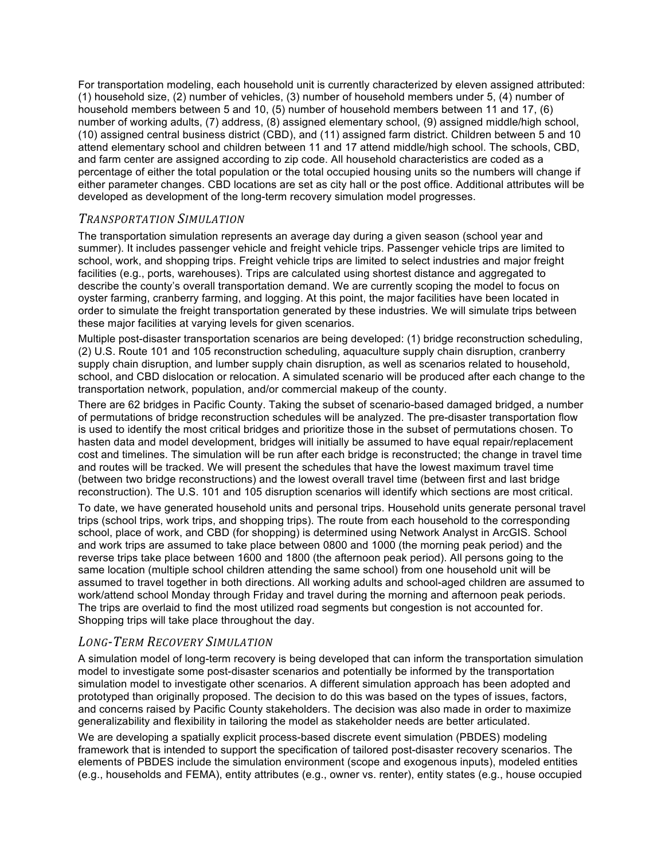For transportation modeling, each household unit is currently characterized by eleven assigned attributed: (1) household size, (2) number of vehicles, (3) number of household members under 5, (4) number of household members between 5 and 10, (5) number of household members between 11 and 17, (6) number of working adults, (7) address, (8) assigned elementary school, (9) assigned middle/high school, (10) assigned central business district (CBD), and (11) assigned farm district. Children between 5 and 10 attend elementary school and children between 11 and 17 attend middle/high school. The schools, CBD, and farm center are assigned according to zip code. All household characteristics are coded as a percentage of either the total population or the total occupied housing units so the numbers will change if either parameter changes. CBD locations are set as city hall or the post office. Additional attributes will be developed as development of the long-term recovery simulation model progresses.

#### *TRANSPORTATION SIMULATION*

The transportation simulation represents an average day during a given season (school year and summer). It includes passenger vehicle and freight vehicle trips. Passenger vehicle trips are limited to school, work, and shopping trips. Freight vehicle trips are limited to select industries and major freight facilities (e.g., ports, warehouses). Trips are calculated using shortest distance and aggregated to describe the county's overall transportation demand. We are currently scoping the model to focus on oyster farming, cranberry farming, and logging. At this point, the major facilities have been located in order to simulate the freight transportation generated by these industries. We will simulate trips between these major facilities at varying levels for given scenarios.

Multiple post-disaster transportation scenarios are being developed: (1) bridge reconstruction scheduling, (2) U.S. Route 101 and 105 reconstruction scheduling, aquaculture supply chain disruption, cranberry supply chain disruption, and lumber supply chain disruption, as well as scenarios related to household, school, and CBD dislocation or relocation. A simulated scenario will be produced after each change to the transportation network, population, and/or commercial makeup of the county.

There are 62 bridges in Pacific County. Taking the subset of scenario-based damaged bridged, a number of permutations of bridge reconstruction schedules will be analyzed. The pre-disaster transportation flow is used to identify the most critical bridges and prioritize those in the subset of permutations chosen. To hasten data and model development, bridges will initially be assumed to have equal repair/replacement cost and timelines. The simulation will be run after each bridge is reconstructed; the change in travel time and routes will be tracked. We will present the schedules that have the lowest maximum travel time (between two bridge reconstructions) and the lowest overall travel time (between first and last bridge reconstruction). The U.S. 101 and 105 disruption scenarios will identify which sections are most critical.

To date, we have generated household units and personal trips. Household units generate personal travel trips (school trips, work trips, and shopping trips). The route from each household to the corresponding school, place of work, and CBD (for shopping) is determined using Network Analyst in ArcGIS. School and work trips are assumed to take place between 0800 and 1000 (the morning peak period) and the reverse trips take place between 1600 and 1800 (the afternoon peak period). All persons going to the same location (multiple school children attending the same school) from one household unit will be assumed to travel together in both directions. All working adults and school-aged children are assumed to work/attend school Monday through Friday and travel during the morning and afternoon peak periods. The trips are overlaid to find the most utilized road segments but congestion is not accounted for. Shopping trips will take place throughout the day.

## *LONG-TERM RECOVERY SIMULATION*

A simulation model of long-term recovery is being developed that can inform the transportation simulation model to investigate some post-disaster scenarios and potentially be informed by the transportation simulation model to investigate other scenarios. A different simulation approach has been adopted and prototyped than originally proposed. The decision to do this was based on the types of issues, factors, and concerns raised by Pacific County stakeholders. The decision was also made in order to maximize generalizability and flexibility in tailoring the model as stakeholder needs are better articulated.

We are developing a spatially explicit process-based discrete event simulation (PBDES) modeling framework that is intended to support the specification of tailored post-disaster recovery scenarios. The elements of PBDES include the simulation environment (scope and exogenous inputs), modeled entities (e.g., households and FEMA), entity attributes (e.g., owner vs. renter), entity states (e.g., house occupied